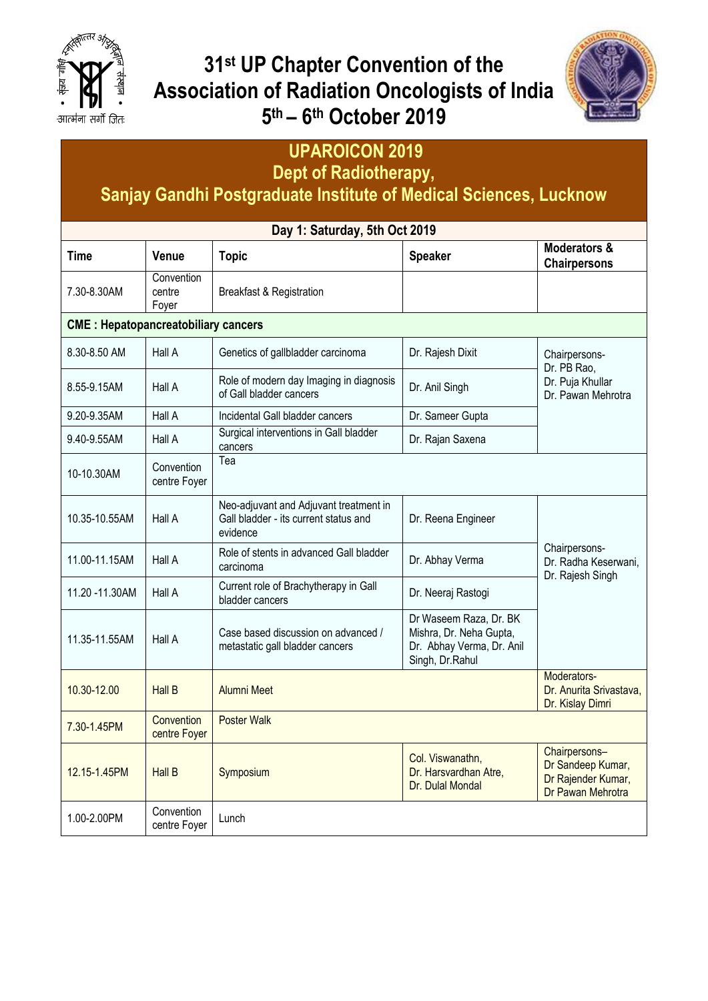

## **31st UP Chapter Convention of the Association of Radiation Oncologists of India 5 th – 6 th October 2019**



# **UPAROICON 2019**

**Dept of Radiotherapy,**

### **Sanjay Gandhi Postgraduate Institute of Medical Sciences, Lucknow**

| Day 1: Saturday, 5th Oct 2019              |                               |                                                                                             |                                                                                                   |                                                                               |  |  |  |
|--------------------------------------------|-------------------------------|---------------------------------------------------------------------------------------------|---------------------------------------------------------------------------------------------------|-------------------------------------------------------------------------------|--|--|--|
| Time                                       | Venue                         | <b>Topic</b>                                                                                | <b>Speaker</b>                                                                                    | <b>Moderators &amp;</b><br><b>Chairpersons</b>                                |  |  |  |
| 7.30-8.30AM                                | Convention<br>centre<br>Foyer | <b>Breakfast &amp; Registration</b>                                                         |                                                                                                   |                                                                               |  |  |  |
| <b>CME: Hepatopancreatobiliary cancers</b> |                               |                                                                                             |                                                                                                   |                                                                               |  |  |  |
| 8.30-8.50 AM                               | Hall A                        | Genetics of gallbladder carcinoma                                                           | Dr. Rajesh Dixit                                                                                  | Chairpersons-<br>Dr. PB Rao,                                                  |  |  |  |
| 8.55-9.15AM                                | Hall A                        | Role of modern day Imaging in diagnosis<br>of Gall bladder cancers                          | Dr. Anil Singh                                                                                    | Dr. Puja Khullar<br>Dr. Pawan Mehrotra                                        |  |  |  |
| 9.20-9.35AM                                | Hall A                        | Incidental Gall bladder cancers                                                             | Dr. Sameer Gupta                                                                                  |                                                                               |  |  |  |
| 9.40-9.55AM                                | Hall A                        | Surgical interventions in Gall bladder<br>cancers                                           | Dr. Rajan Saxena                                                                                  |                                                                               |  |  |  |
| 10-10.30AM                                 | Convention<br>centre Foyer    | Теа                                                                                         |                                                                                                   |                                                                               |  |  |  |
| 10.35-10.55AM                              | Hall A                        | Neo-adjuvant and Adjuvant treatment in<br>Gall bladder - its current status and<br>evidence | Dr. Reena Engineer                                                                                |                                                                               |  |  |  |
| 11.00-11.15AM                              | Hall A                        | Role of stents in advanced Gall bladder<br>carcinoma                                        | Dr. Abhay Verma                                                                                   | Chairpersons-<br>Dr. Radha Keserwani,<br>Dr. Rajesh Singh                     |  |  |  |
| 11.20 - 11.30 AM                           | Hall A                        | Current role of Brachytherapy in Gall<br>bladder cancers                                    | Dr. Neeraj Rastogi                                                                                |                                                                               |  |  |  |
| 11.35-11.55AM                              | Hall A                        | Case based discussion on advanced /<br>metastatic gall bladder cancers                      | Dr Waseem Raza, Dr. BK<br>Mishra, Dr. Neha Gupta,<br>Dr. Abhay Verma, Dr. Anil<br>Singh, Dr.Rahul |                                                                               |  |  |  |
| 10.30-12.00                                | <b>Hall B</b>                 | Alumni Meet                                                                                 |                                                                                                   | Moderators-<br>Dr. Anurita Srivastava,<br>Dr. Kislay Dimri                    |  |  |  |
| 7.30-1.45PM                                | Convention<br>centre Foyer    | <b>Poster Walk</b>                                                                          |                                                                                                   |                                                                               |  |  |  |
| 12.15-1.45PM                               | <b>Hall B</b>                 | Symposium                                                                                   | Col. Viswanathn,<br>Dr. Harsvardhan Atre,<br>Dr. Dulal Mondal                                     | Chairpersons-<br>Dr Sandeep Kumar,<br>Dr Rajender Kumar,<br>Dr Pawan Mehrotra |  |  |  |
| 1.00-2.00PM                                | Convention<br>centre Foyer    | Lunch                                                                                       |                                                                                                   |                                                                               |  |  |  |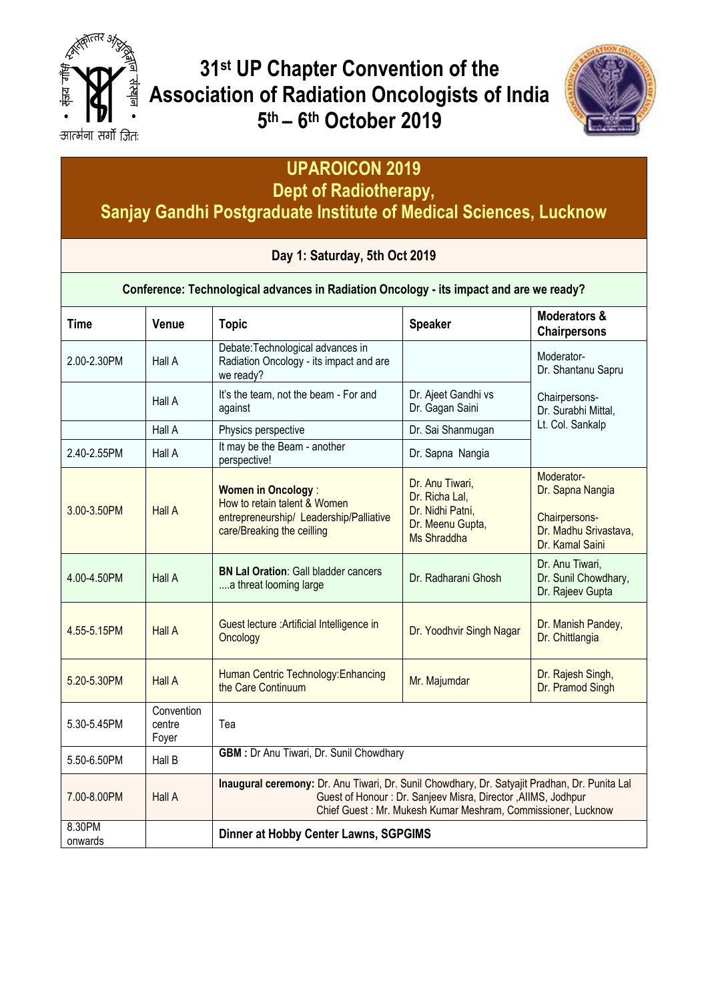

**31st UP Chapter Convention of the Association of Radiation Oncologists of India 5 th – 6 th October 2019**



# **UPAROICON 2019**

**Dept of Radiotherapy,**

**Sanjay Gandhi Postgraduate Institute of Medical Sciences, Lucknow**

#### **Day 1: Saturday, 5th Oct 2019**

**Conference: Technological advances in Radiation Oncology - its impact and are we ready?**

| <b>Time</b>       | Venue                         | <b>Topic</b>                                                                                                                                                                                                                  | <b>Speaker</b>                                                                           | <b>Moderators &amp;</b><br><b>Chairpersons</b>                                              |
|-------------------|-------------------------------|-------------------------------------------------------------------------------------------------------------------------------------------------------------------------------------------------------------------------------|------------------------------------------------------------------------------------------|---------------------------------------------------------------------------------------------|
| 2.00-2.30PM       | Hall A                        | Debate: Technological advances in<br>Radiation Oncology - its impact and are<br>we ready?                                                                                                                                     |                                                                                          | Moderator-<br>Dr. Shantanu Sapru                                                            |
|                   | Hall A                        | It's the team, not the beam - For and<br>against                                                                                                                                                                              | Dr. Ajeet Gandhi vs<br>Dr. Gagan Saini                                                   | Chairpersons-<br>Dr. Surabhi Mittal,                                                        |
|                   | Hall A                        | Physics perspective                                                                                                                                                                                                           | Dr. Sai Shanmugan                                                                        | Lt. Col. Sankalp                                                                            |
| 2.40-2.55PM       | Hall A                        | It may be the Beam - another<br>perspective!                                                                                                                                                                                  | Dr. Sapna Nangia                                                                         |                                                                                             |
| 3.00-3.50PM       | <b>Hall A</b>                 | <b>Women in Oncology:</b><br>How to retain talent & Women<br>entrepreneurship/ Leadership/Palliative<br>care/Breaking the ceilling                                                                                            | Dr. Anu Tiwari,<br>Dr. Richa Lal,<br>Dr. Nidhi Patni,<br>Dr. Meenu Gupta,<br>Ms Shraddha | Moderator-<br>Dr. Sapna Nangia<br>Chairpersons-<br>Dr. Madhu Srivastava,<br>Dr. Kamal Saini |
| 4.00-4.50PM       | Hall A                        | <b>BN Lal Oration: Gall bladder cancers</b><br>a threat looming large                                                                                                                                                         | Dr. Radharani Ghosh                                                                      | Dr. Anu Tiwari,<br>Dr. Sunil Chowdhary,<br>Dr. Rajeev Gupta                                 |
| 4.55-5.15PM       | <b>Hall A</b>                 | Guest lecture : Artificial Intelligence in<br>Oncology                                                                                                                                                                        | Dr. Yoodhvir Singh Nagar                                                                 | Dr. Manish Pandey,<br>Dr. Chittlangia                                                       |
| 5.20-5.30PM       | <b>Hall A</b>                 | Human Centric Technology: Enhancing<br>the Care Continuum                                                                                                                                                                     | Mr. Majumdar                                                                             | Dr. Rajesh Singh,<br>Dr. Pramod Singh                                                       |
| 5.30-5.45PM       | Convention<br>centre<br>Foyer | Tea                                                                                                                                                                                                                           |                                                                                          |                                                                                             |
| 5.50-6.50PM       | Hall B                        | GBM : Dr Anu Tiwari, Dr. Sunil Chowdhary                                                                                                                                                                                      |                                                                                          |                                                                                             |
| 7.00-8.00PM       | Hall A                        | Inaugural ceremony: Dr. Anu Tiwari, Dr. Sunil Chowdhary, Dr. Satyajit Pradhan, Dr. Punita Lal<br>Guest of Honour: Dr. Sanjeev Misra, Director, AllMS, Jodhpur<br>Chief Guest: Mr. Mukesh Kumar Meshram, Commissioner, Lucknow |                                                                                          |                                                                                             |
| 8.30PM<br>onwards |                               | <b>Dinner at Hobby Center Lawns, SGPGIMS</b>                                                                                                                                                                                  |                                                                                          |                                                                                             |